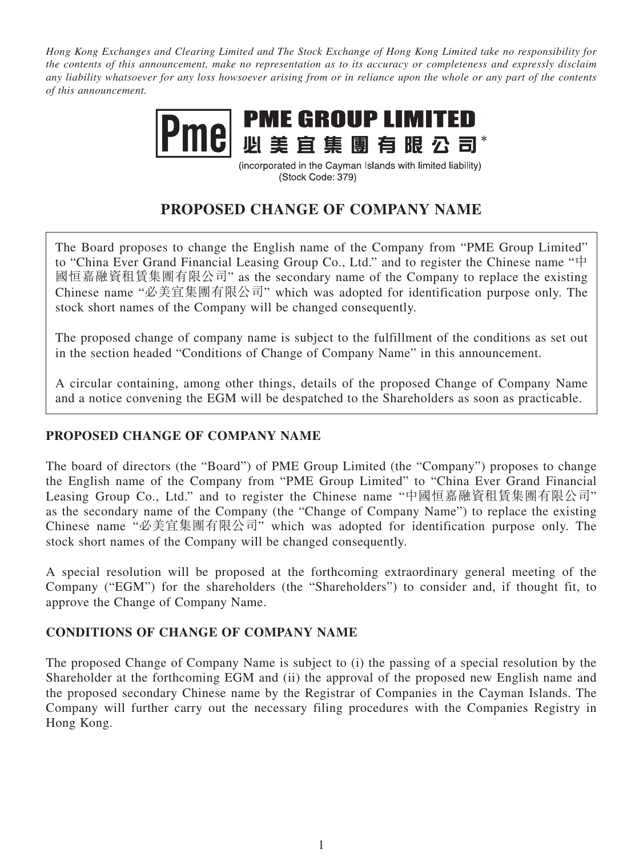*Hong Kong Exchanges and Clearing Limited and The Stock Exchange of Hong Kong Limited take no responsibility for the contents of this announcement, make no representation as to its accuracy or completeness and expressly disclaim any liability whatsoever for any loss howsoever arising from or in reliance upon the whole or any part of the contents of this announcement.*



(incorporated in the Cayman Islands with limited liability) (Stock Code: 379)

# **PROPOSED CHANGE OF COMPANY NAME**

The Board proposes to change the English name of the Company from "PME Group Limited" to "China Ever Grand Financial Leasing Group Co., Ltd." and to register the Chinese name "中 國恒嘉融資租賃集團有限公司" as the secondary name of the Company to replace the existing Chinese name "必美宜集團有限公司" which was adopted for identification purpose only. The stock short names of the Company will be changed consequently.

The proposed change of company name is subject to the fulfillment of the conditions as set out in the section headed "Conditions of Change of Company Name" in this announcement.

A circular containing, among other things, details of the proposed Change of Company Name and a notice convening the EGM will be despatched to the Shareholders as soon as practicable.

# **PROPOSED CHANGE OF COMPANY NAME**

The board of directors (the "Board") of PME Group Limited (the "Company") proposes to change the English name of the Company from "PME Group Limited" to "China Ever Grand Financial Leasing Group Co., Ltd." and to register the Chinese name "中國恒嘉融資租賃集團有限公司" as the secondary name of the Company (the "Change of Company Name") to replace the existing Chinese name "必美宜集團有限公司" which was adopted for identification purpose only. The stock short names of the Company will be changed consequently.

A special resolution will be proposed at the forthcoming extraordinary general meeting of the Company ("EGM") for the shareholders (the "Shareholders") to consider and, if thought fit, to approve the Change of Company Name.

## **CONDITIONS OF CHANGE OF COMPANY NAME**

The proposed Change of Company Name is subject to (i) the passing of a special resolution by the Shareholder at the forthcoming EGM and (ii) the approval of the proposed new English name and the proposed secondary Chinese name by the Registrar of Companies in the Cayman Islands. The Company will further carry out the necessary filing procedures with the Companies Registry in Hong Kong.